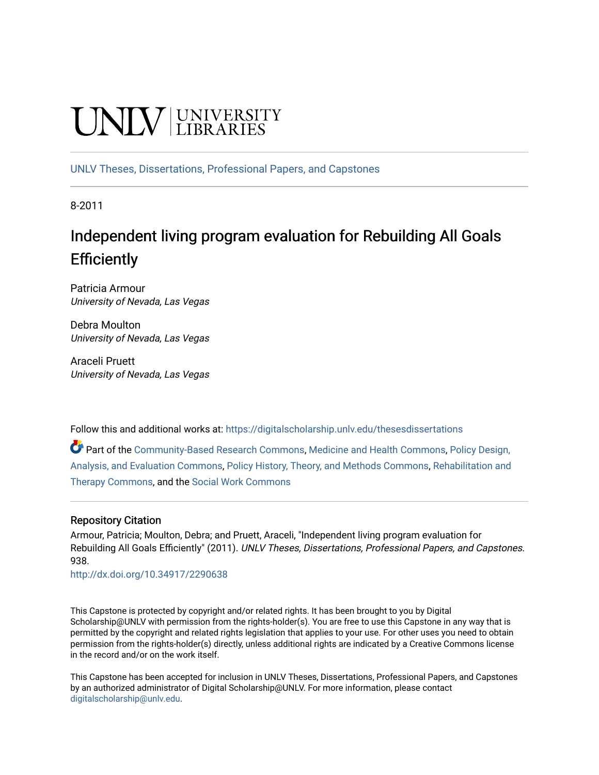# UNIV UNIVERSITY

[UNLV Theses, Dissertations, Professional Papers, and Capstones](https://digitalscholarship.unlv.edu/thesesdissertations)

8-2011

## Independent living program evaluation for Rebuilding All Goals **Efficiently**

Patricia Armour University of Nevada, Las Vegas

Debra Moulton University of Nevada, Las Vegas

Araceli Pruett University of Nevada, Las Vegas

Follow this and additional works at: [https://digitalscholarship.unlv.edu/thesesdissertations](https://digitalscholarship.unlv.edu/thesesdissertations?utm_source=digitalscholarship.unlv.edu%2Fthesesdissertations%2F938&utm_medium=PDF&utm_campaign=PDFCoverPages)

Part of the [Community-Based Research Commons](http://network.bepress.com/hgg/discipline/1047?utm_source=digitalscholarship.unlv.edu%2Fthesesdissertations%2F938&utm_medium=PDF&utm_campaign=PDFCoverPages), [Medicine and Health Commons,](http://network.bepress.com/hgg/discipline/422?utm_source=digitalscholarship.unlv.edu%2Fthesesdissertations%2F938&utm_medium=PDF&utm_campaign=PDFCoverPages) [Policy Design,](http://network.bepress.com/hgg/discipline/1032?utm_source=digitalscholarship.unlv.edu%2Fthesesdissertations%2F938&utm_medium=PDF&utm_campaign=PDFCoverPages)  [Analysis, and Evaluation Commons,](http://network.bepress.com/hgg/discipline/1032?utm_source=digitalscholarship.unlv.edu%2Fthesesdissertations%2F938&utm_medium=PDF&utm_campaign=PDFCoverPages) [Policy History, Theory, and Methods Commons](http://network.bepress.com/hgg/discipline/1036?utm_source=digitalscholarship.unlv.edu%2Fthesesdissertations%2F938&utm_medium=PDF&utm_campaign=PDFCoverPages), [Rehabilitation and](http://network.bepress.com/hgg/discipline/749?utm_source=digitalscholarship.unlv.edu%2Fthesesdissertations%2F938&utm_medium=PDF&utm_campaign=PDFCoverPages)  [Therapy Commons](http://network.bepress.com/hgg/discipline/749?utm_source=digitalscholarship.unlv.edu%2Fthesesdissertations%2F938&utm_medium=PDF&utm_campaign=PDFCoverPages), and the [Social Work Commons](http://network.bepress.com/hgg/discipline/713?utm_source=digitalscholarship.unlv.edu%2Fthesesdissertations%2F938&utm_medium=PDF&utm_campaign=PDFCoverPages)

#### Repository Citation

Armour, Patricia; Moulton, Debra; and Pruett, Araceli, "Independent living program evaluation for Rebuilding All Goals Efficiently" (2011). UNLV Theses, Dissertations, Professional Papers, and Capstones. 938.

<http://dx.doi.org/10.34917/2290638>

This Capstone is protected by copyright and/or related rights. It has been brought to you by Digital Scholarship@UNLV with permission from the rights-holder(s). You are free to use this Capstone in any way that is permitted by the copyright and related rights legislation that applies to your use. For other uses you need to obtain permission from the rights-holder(s) directly, unless additional rights are indicated by a Creative Commons license in the record and/or on the work itself.

This Capstone has been accepted for inclusion in UNLV Theses, Dissertations, Professional Papers, and Capstones by an authorized administrator of Digital Scholarship@UNLV. For more information, please contact [digitalscholarship@unlv.edu](mailto:digitalscholarship@unlv.edu).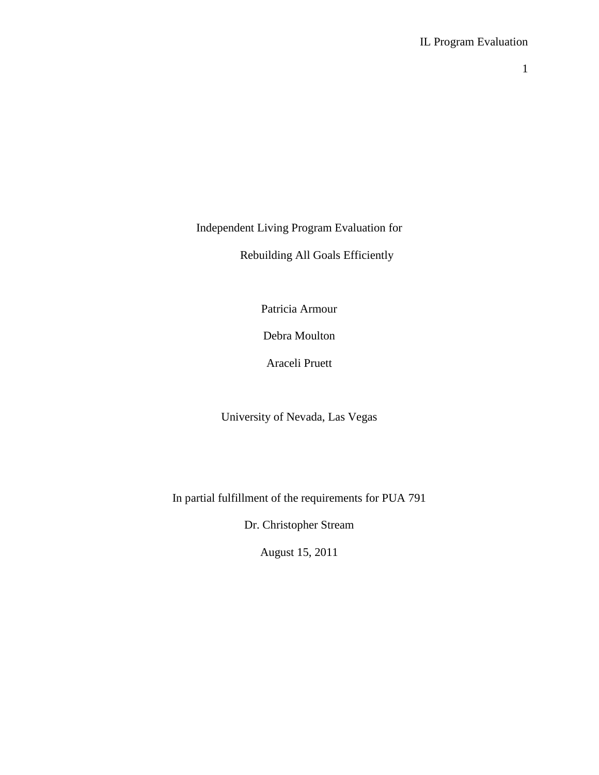Independent Living Program Evaluation for

Rebuilding All Goals Efficiently

Patricia Armour

Debra Moulton

Araceli Pruett

University of Nevada, Las Vegas

In partial fulfillment of the requirements for PUA 791

Dr. Christopher Stream

August 15, 2011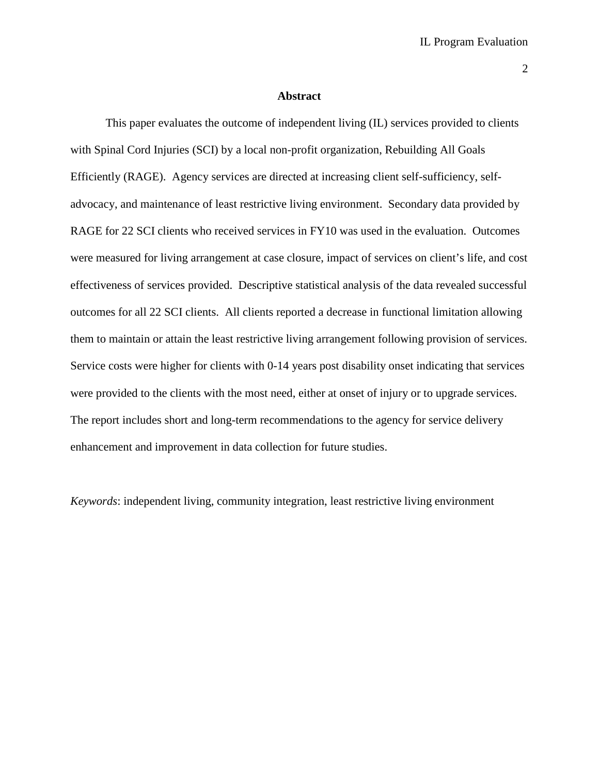#### **Abstract**

This paper evaluates the outcome of independent living (IL) services provided to clients with Spinal Cord Injuries (SCI) by a local non-profit organization, Rebuilding All Goals Efficiently (RAGE). Agency services are directed at increasing client self-sufficiency, selfadvocacy, and maintenance of least restrictive living environment. Secondary data provided by RAGE for 22 SCI clients who received services in FY10 was used in the evaluation. Outcomes were measured for living arrangement at case closure, impact of services on client's life, and cost effectiveness of services provided. Descriptive statistical analysis of the data revealed successful outcomes for all 22 SCI clients. All clients reported a decrease in functional limitation allowing them to maintain or attain the least restrictive living arrangement following provision of services. Service costs were higher for clients with 0-14 years post disability onset indicating that services were provided to the clients with the most need, either at onset of injury or to upgrade services. The report includes short and long-term recommendations to the agency for service delivery enhancement and improvement in data collection for future studies.

*Keywords*: independent living, community integration, least restrictive living environment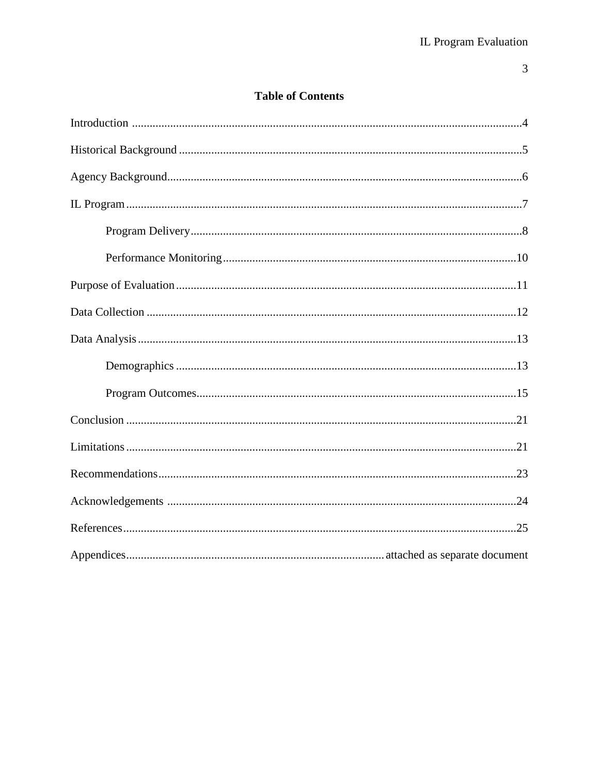### **Table of Contents**

 $\overline{3}$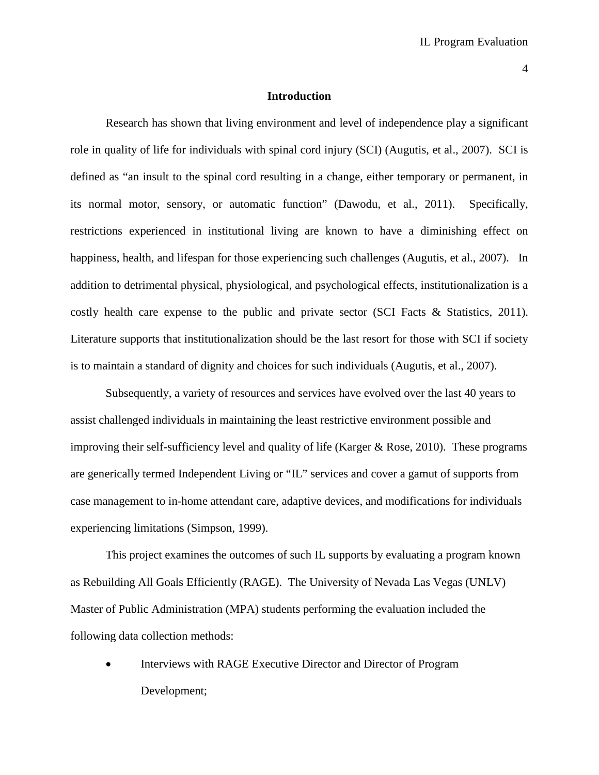#### **Introduction**

Research has shown that living environment and level of independence play a significant role in quality of life for individuals with spinal cord injury (SCI) (Augutis, et al., 2007). SCI is defined as "an insult to the spinal cord resulting in a change, either temporary or permanent, in its normal motor, sensory, or automatic function" (Dawodu, et al., 2011). Specifically, restrictions experienced in institutional living are known to have a diminishing effect on happiness, health, and lifespan for those experiencing such challenges (Augutis, et al., 2007). In addition to detrimental physical, physiological, and psychological effects, institutionalization is a costly health care expense to the public and private sector (SCI Facts & Statistics, 2011). Literature supports that institutionalization should be the last resort for those with SCI if society is to maintain a standard of dignity and choices for such individuals (Augutis, et al., 2007).

Subsequently, a variety of resources and services have evolved over the last 40 years to assist challenged individuals in maintaining the least restrictive environment possible and improving their self-sufficiency level and quality of life (Karger  $\&$  Rose, 2010). These programs are generically termed Independent Living or "IL" services and cover a gamut of supports from case management to in-home attendant care, adaptive devices, and modifications for individuals experiencing limitations (Simpson, 1999).

This project examines the outcomes of such IL supports by evaluating a program known as Rebuilding All Goals Efficiently (RAGE). The University of Nevada Las Vegas (UNLV) Master of Public Administration (MPA) students performing the evaluation included the following data collection methods:

Interviews with RAGE Executive Director and Director of Program Development;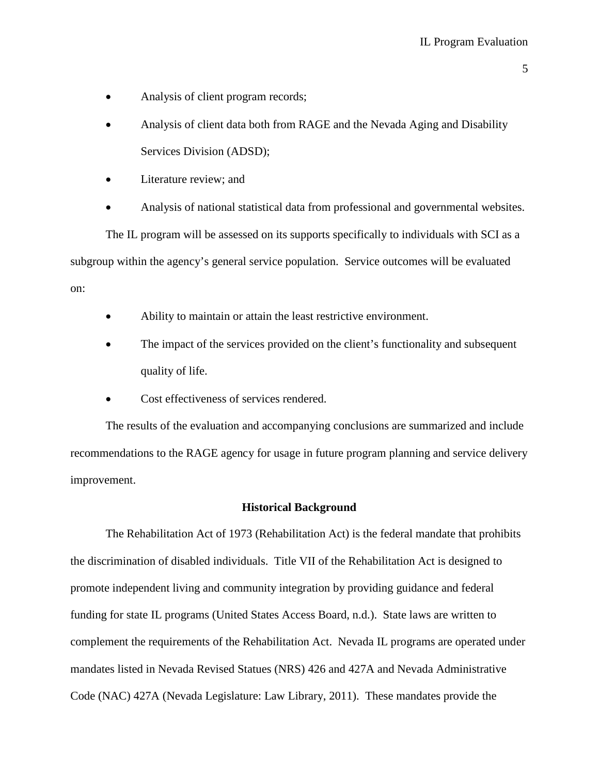- Analysis of client program records;
- Analysis of client data both from RAGE and the Nevada Aging and Disability Services Division (ADSD);
- Literature review; and
- Analysis of national statistical data from professional and governmental websites.

The IL program will be assessed on its supports specifically to individuals with SCI as a subgroup within the agency's general service population. Service outcomes will be evaluated on:

- Ability to maintain or attain the least restrictive environment.
- The impact of the services provided on the client's functionality and subsequent quality of life.
- Cost effectiveness of services rendered.

The results of the evaluation and accompanying conclusions are summarized and include recommendations to the RAGE agency for usage in future program planning and service delivery improvement.

#### **Historical Background**

The Rehabilitation Act of 1973 (Rehabilitation Act) is the federal mandate that prohibits the discrimination of disabled individuals. Title VII of the Rehabilitation Act is designed to promote independent living and community integration by providing guidance and federal funding for state IL programs (United States Access Board, n.d.). State laws are written to complement the requirements of the Rehabilitation Act. Nevada IL programs are operated under mandates listed in Nevada Revised Statues (NRS) 426 and 427A and Nevada Administrative Code (NAC) 427A (Nevada Legislature: Law Library, 2011). These mandates provide the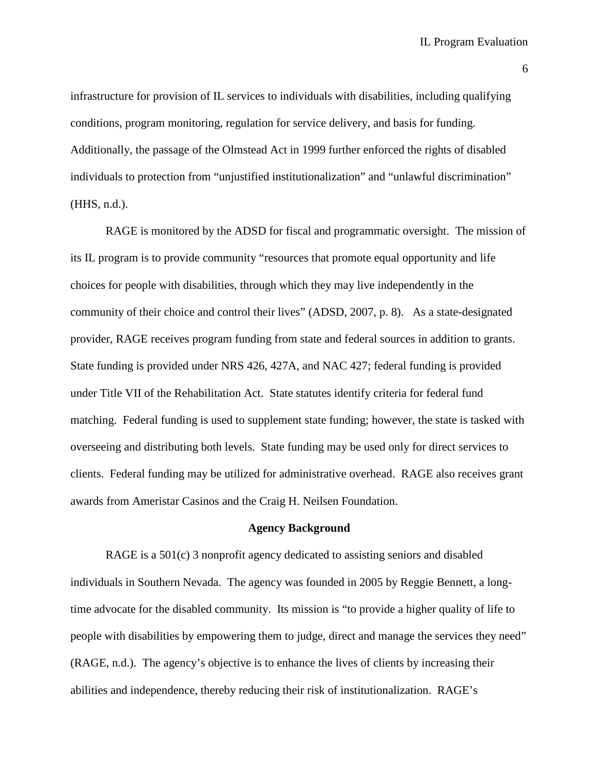infrastructure for provision of IL services to individuals with disabilities, including qualifying conditions, program monitoring, regulation for service delivery, and basis for funding. Additionally, the passage of the Olmstead Act in 1999 further enforced the rights of disabled individuals to protection from "unjustified institutionalization" and "unlawful discrimination" (HHS, n.d.).

RAGE is monitored by the ADSD for fiscal and programmatic oversight. The mission of its IL program is to provide community "resources that promote equal opportunity and life choices for people with disabilities, through which they may live independently in the community of their choice and control their lives" (ADSD, 2007, p. 8). As a state-designated provider, RAGE receives program funding from state and federal sources in addition to grants. State funding is provided under NRS 426, 427A, and NAC 427; federal funding is provided under Title VII of the Rehabilitation Act. State statutes identify criteria for federal fund matching. Federal funding is used to supplement state funding; however, the state is tasked with overseeing and distributing both levels. State funding may be used only for direct services to clients. Federal funding may be utilized for administrative overhead. RAGE also receives grant awards from Ameristar Casinos and the Craig H. Neilsen Foundation.

#### **Agency Background**

RAGE is a 501(c) 3 nonprofit agency dedicated to assisting seniors and disabled individuals in Southern Nevada. The agency was founded in 2005 by Reggie Bennett, a longtime advocate for the disabled community. Its mission is "to provide a higher quality of life to people with disabilities by empowering them to judge, direct and manage the services they need" (RAGE, n.d.). The agency's objective is to enhance the lives of clients by increasing their abilities and independence, thereby reducing their risk of institutionalization. RAGE's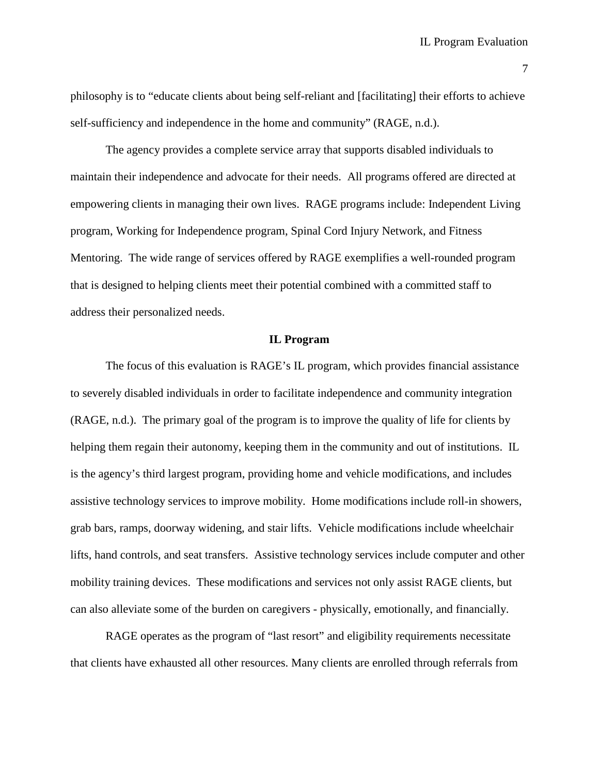philosophy is to "educate clients about being self-reliant and [facilitating] their efforts to achieve self-sufficiency and independence in the home and community" (RAGE, n.d.).

The agency provides a complete service array that supports disabled individuals to maintain their independence and advocate for their needs. All programs offered are directed at empowering clients in managing their own lives. RAGE programs include: Independent Living program, Working for Independence program, Spinal Cord Injury Network, and Fitness Mentoring. The wide range of services offered by RAGE exemplifies a well-rounded program that is designed to helping clients meet their potential combined with a committed staff to address their personalized needs.

#### **IL Program**

The focus of this evaluation is RAGE's IL program, which provides financial assistance to severely disabled individuals in order to facilitate independence and community integration (RAGE, n.d.). The primary goal of the program is to improve the quality of life for clients by helping them regain their autonomy, keeping them in the community and out of institutions. IL is the agency's third largest program, providing home and vehicle modifications, and includes assistive technology services to improve mobility. Home modifications include roll-in showers, grab bars, ramps, doorway widening, and stair lifts. Vehicle modifications include wheelchair lifts, hand controls, and seat transfers. Assistive technology services include computer and other mobility training devices. These modifications and services not only assist RAGE clients, but can also alleviate some of the burden on caregivers - physically, emotionally, and financially.

RAGE operates as the program of "last resort" and eligibility requirements necessitate that clients have exhausted all other resources. Many clients are enrolled through referrals from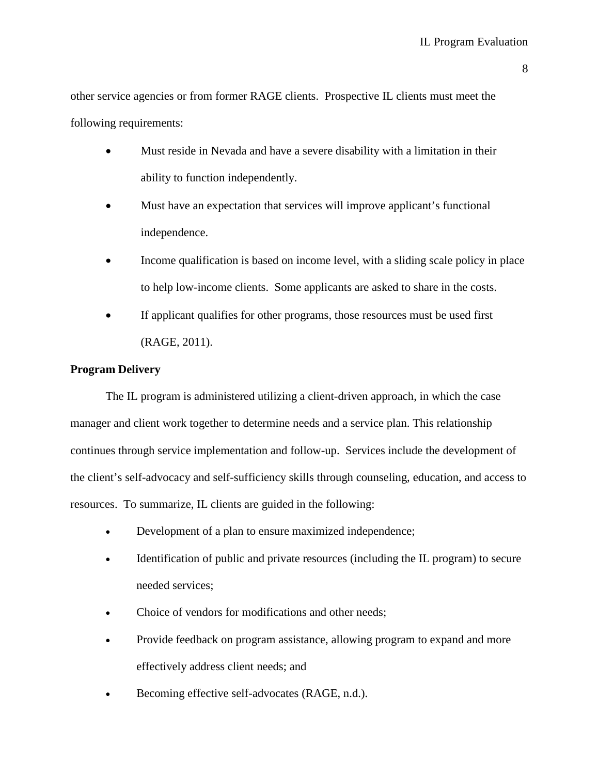other service agencies or from former RAGE clients. Prospective IL clients must meet the following requirements:

- Must reside in Nevada and have a severe disability with a limitation in their ability to function independently.
- Must have an expectation that services will improve applicant's functional independence.
- Income qualification is based on income level, with a sliding scale policy in place to help low-income clients. Some applicants are asked to share in the costs.
- If applicant qualifies for other programs, those resources must be used first (RAGE, 2011).

#### **Program Delivery**

The IL program is administered utilizing a client-driven approach, in which the case manager and client work together to determine needs and a service plan. This relationship continues through service implementation and follow-up. Services include the development of the client's self-advocacy and self-sufficiency skills through counseling, education, and access to resources. To summarize, IL clients are guided in the following:

- Development of a plan to ensure maximized independence;
- Identification of public and private resources (including the IL program) to secure needed services;
- Choice of vendors for modifications and other needs;
- Provide feedback on program assistance, allowing program to expand and more effectively address client needs; and
- Becoming effective self-advocates (RAGE, n.d.).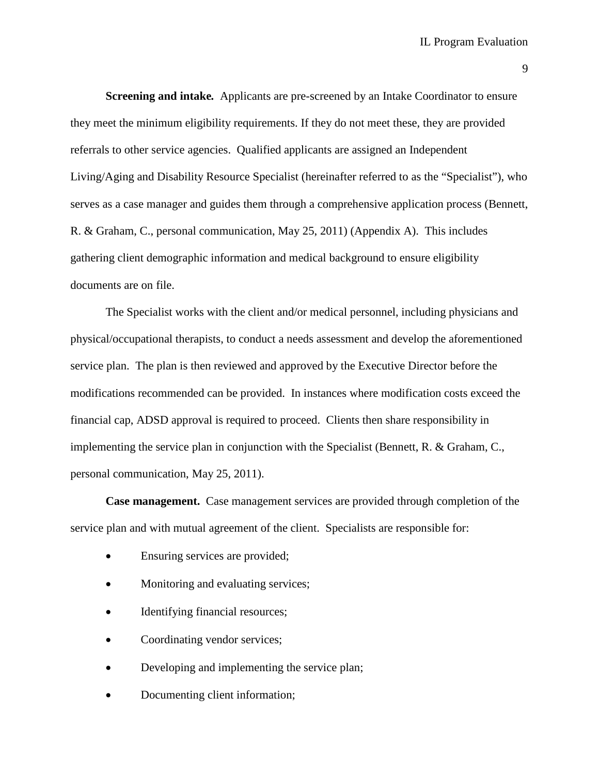**Screening and intake***.* Applicants are pre-screened by an Intake Coordinator to ensure they meet the minimum eligibility requirements. If they do not meet these, they are provided referrals to other service agencies. Qualified applicants are assigned an Independent Living/Aging and Disability Resource Specialist (hereinafter referred to as the "Specialist"), who serves as a case manager and guides them through a comprehensive application process (Bennett, R. & Graham, C., personal communication, May 25, 2011) (Appendix A). This includes gathering client demographic information and medical background to ensure eligibility documents are on file.

The Specialist works with the client and/or medical personnel, including physicians and physical/occupational therapists, to conduct a needs assessment and develop the aforementioned service plan. The plan is then reviewed and approved by the Executive Director before the modifications recommended can be provided. In instances where modification costs exceed the financial cap, ADSD approval is required to proceed. Clients then share responsibility in implementing the service plan in conjunction with the Specialist (Bennett, R. & Graham, C., personal communication, May 25, 2011).

**Case management.**Case management services are provided through completion of the service plan and with mutual agreement of the client. Specialists are responsible for:

- Ensuring services are provided;
- Monitoring and evaluating services;
- Identifying financial resources;
- Coordinating vendor services;
- Developing and implementing the service plan;
- Documenting client information;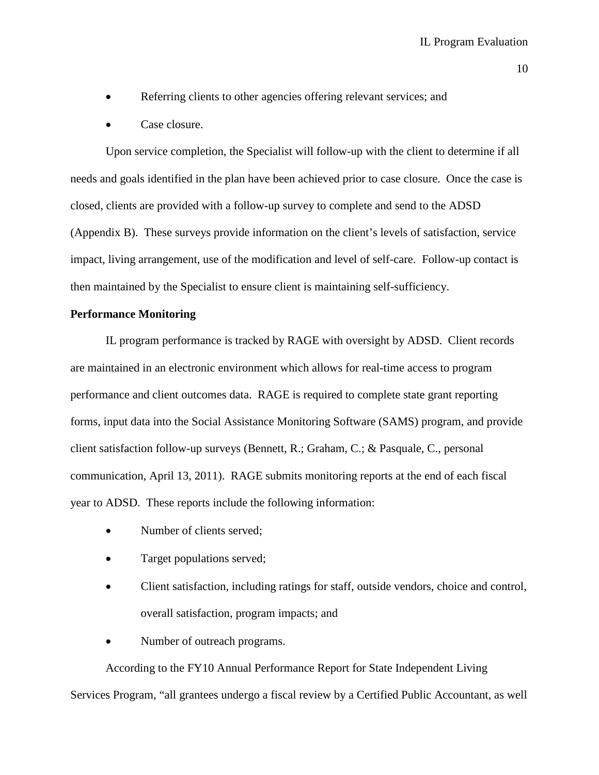- Referring clients to other agencies offering relevant services; and
- Case closure.

Upon service completion, the Specialist will follow-up with the client to determine if all needs and goals identified in the plan have been achieved prior to case closure. Once the case is closed, clients are provided with a follow-up survey to complete and send to the ADSD (Appendix B). These surveys provide information on the client's levels of satisfaction, service impact, living arrangement, use of the modification and level of self-care. Follow-up contact is then maintained by the Specialist to ensure client is maintaining self-sufficiency.

#### **Performance Monitoring**

IL program performance is tracked by RAGE with oversight by ADSD. Client records are maintained in an electronic environment which allows for real-time access to program performance and client outcomes data. RAGE is required to complete state grant reporting forms, input data into the Social Assistance Monitoring Software (SAMS) program, and provide client satisfaction follow-up surveys (Bennett, R.; Graham, C.; & Pasquale, C., personal communication, April 13, 2011). RAGE submits monitoring reports at the end of each fiscal year to ADSD. These reports include the following information:

- Number of clients served;
- Target populations served;
- Client satisfaction, including ratings for staff, outside vendors, choice and control, overall satisfaction, program impacts; and
- Number of outreach programs.

According to the FY10 Annual Performance Report for State Independent Living Services Program, "all grantees undergo a fiscal review by a Certified Public Accountant, as well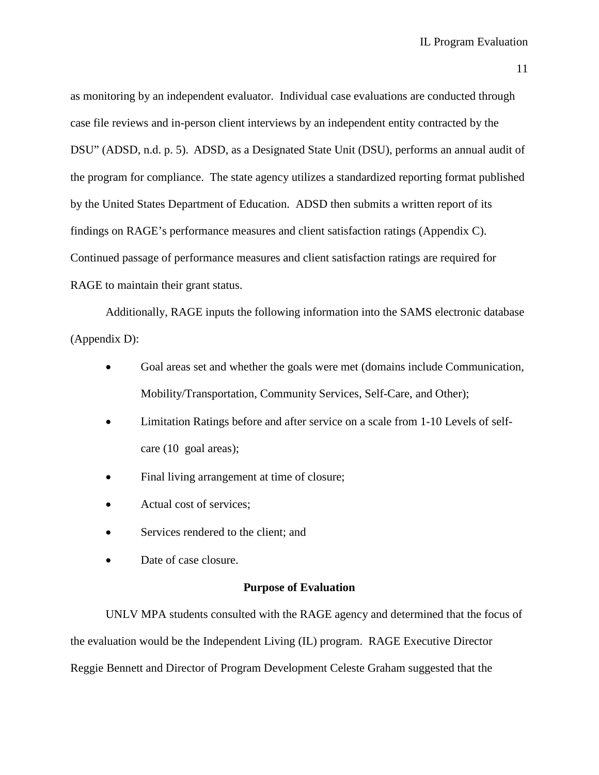as monitoring by an independent evaluator. Individual case evaluations are conducted through case file reviews and in-person client interviews by an independent entity contracted by the DSU" (ADSD, n.d. p. 5). ADSD, as a Designated State Unit (DSU), performs an annual audit of the program for compliance. The state agency utilizes a standardized reporting format published by the United States Department of Education. ADSD then submits a written report of its findings on RAGE's performance measures and client satisfaction ratings (Appendix C). Continued passage of performance measures and client satisfaction ratings are required for RAGE to maintain their grant status.

Additionally, RAGE inputs the following information into the SAMS electronic database (Appendix D):

- Goal areas set and whether the goals were met (domains include Communication, Mobility/Transportation, Community Services, Self-Care, and Other);
- Limitation Ratings before and after service on a scale from 1-10 Levels of selfcare (10 goal areas);
- Final living arrangement at time of closure;
- Actual cost of services;
- Services rendered to the client; and
- Date of case closure.

#### **Purpose of Evaluation**

UNLV MPA students consulted with the RAGE agency and determined that the focus of the evaluation would be the Independent Living (IL) program. RAGE Executive Director Reggie Bennett and Director of Program Development Celeste Graham suggested that the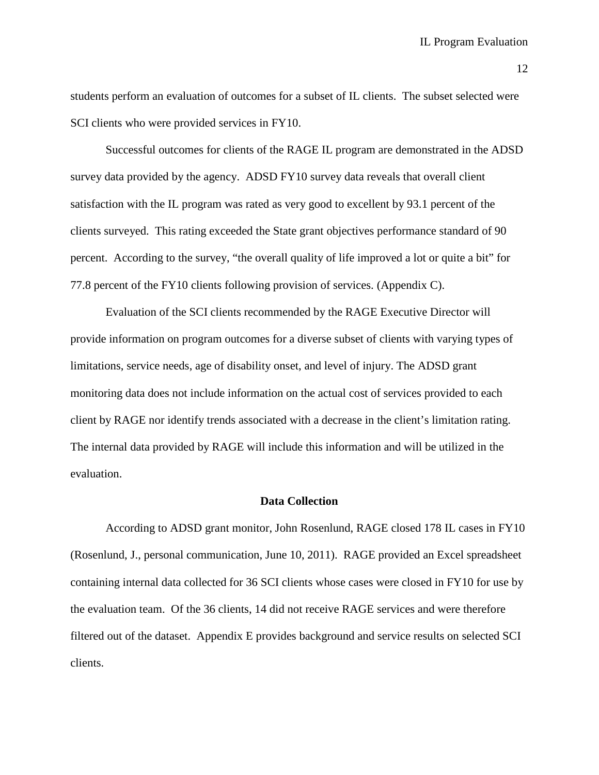students perform an evaluation of outcomes for a subset of IL clients. The subset selected were SCI clients who were provided services in FY10.

Successful outcomes for clients of the RAGE IL program are demonstrated in the ADSD survey data provided by the agency. ADSD FY10 survey data reveals that overall client satisfaction with the IL program was rated as very good to excellent by 93.1 percent of the clients surveyed. This rating exceeded the State grant objectives performance standard of 90 percent. According to the survey, "the overall quality of life improved a lot or quite a bit" for 77.8 percent of the FY10 clients following provision of services. (Appendix C).

Evaluation of the SCI clients recommended by the RAGE Executive Director will provide information on program outcomes for a diverse subset of clients with varying types of limitations, service needs, age of disability onset, and level of injury. The ADSD grant monitoring data does not include information on the actual cost of services provided to each client by RAGE nor identify trends associated with a decrease in the client's limitation rating. The internal data provided by RAGE will include this information and will be utilized in the evaluation.

#### **Data Collection**

According to ADSD grant monitor, John Rosenlund, RAGE closed 178 IL cases in FY10 (Rosenlund, J., personal communication, June 10, 2011). RAGE provided an Excel spreadsheet containing internal data collected for 36 SCI clients whose cases were closed in FY10 for use by the evaluation team. Of the 36 clients, 14 did not receive RAGE services and were therefore filtered out of the dataset. Appendix E provides background and service results on selected SCI clients.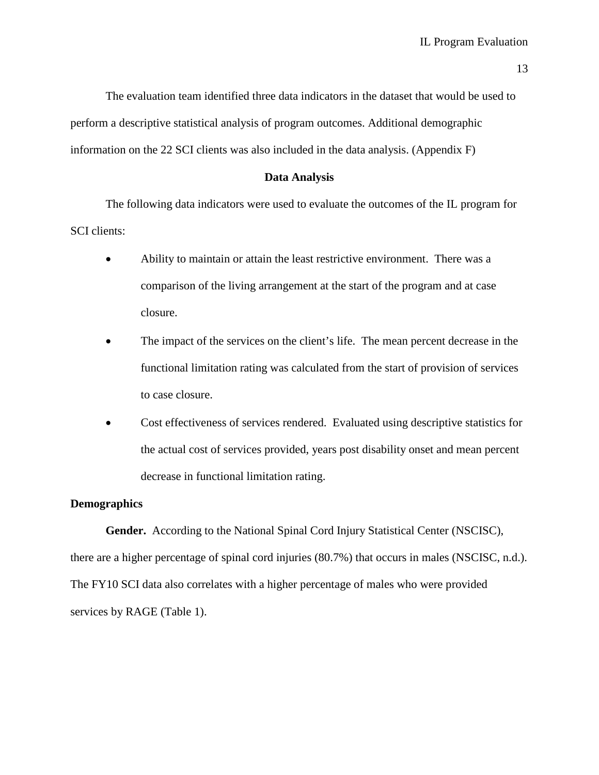The evaluation team identified three data indicators in the dataset that would be used to perform a descriptive statistical analysis of program outcomes. Additional demographic information on the 22 SCI clients was also included in the data analysis. (Appendix F)

#### **Data Analysis**

The following data indicators were used to evaluate the outcomes of the IL program for SCI clients:

- Ability to maintain or attain the least restrictive environment. There was a comparison of the living arrangement at the start of the program and at case closure.
- The impact of the services on the client's life. The mean percent decrease in the functional limitation rating was calculated from the start of provision of services to case closure.
- Cost effectiveness of services rendered. Evaluated using descriptive statistics for the actual cost of services provided, years post disability onset and mean percent decrease in functional limitation rating.

#### **Demographics**

**Gender.**According to the National Spinal Cord Injury Statistical Center (NSCISC), there are a higher percentage of spinal cord injuries (80.7%) that occurs in males (NSCISC, n.d.). The FY10 SCI data also correlates with a higher percentage of males who were provided services by RAGE (Table 1).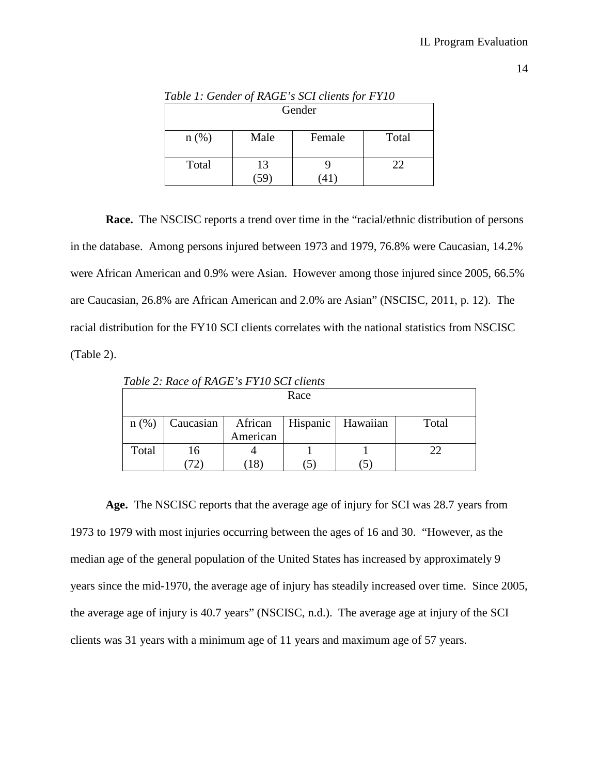| Table 1. Genuer of RAGE 3 SCI chems for FITO |      |        |       |  |
|----------------------------------------------|------|--------|-------|--|
| Gender                                       |      |        |       |  |
| $n(\%)$                                      | Male | Female | Total |  |
| Total                                        | 13   |        | 22    |  |

*Table 1: Gender of RAGE's SCI clients for FY10*

**Race.** The NSCISC reports a trend over time in the "racial/ethnic distribution of persons in the database. Among persons injured between 1973 and 1979, 76.8% were Caucasian, 14.2% were African American and 0.9% were Asian. However among those injured since 2005, 66.5% are Caucasian, 26.8% are African American and 2.0% are Asian" (NSCISC, 2011, p. 12). The racial distribution for the FY10 SCI clients correlates with the national statistics from NSCISC (Table 2).

Race  $n$  (%) Caucasian | African American Hispanic Hawaiian Total Total 16 (72) 4 (18) 1 (5) 1 (5) 22

*Table 2: Race of RAGE's FY10 SCI clients*

**Age.**The NSCISC reports that the average age of injury for SCI was 28.7 years from 1973 to 1979 with most injuries occurring between the ages of 16 and 30. "However, as the median age of the general population of the United States has increased by approximately 9 years since the mid-1970, the average age of injury has steadily increased over time. Since 2005, the average age of injury is 40.7 years" (NSCISC, n.d.). The average age at injury of the SCI clients was 31 years with a minimum age of 11 years and maximum age of 57 years.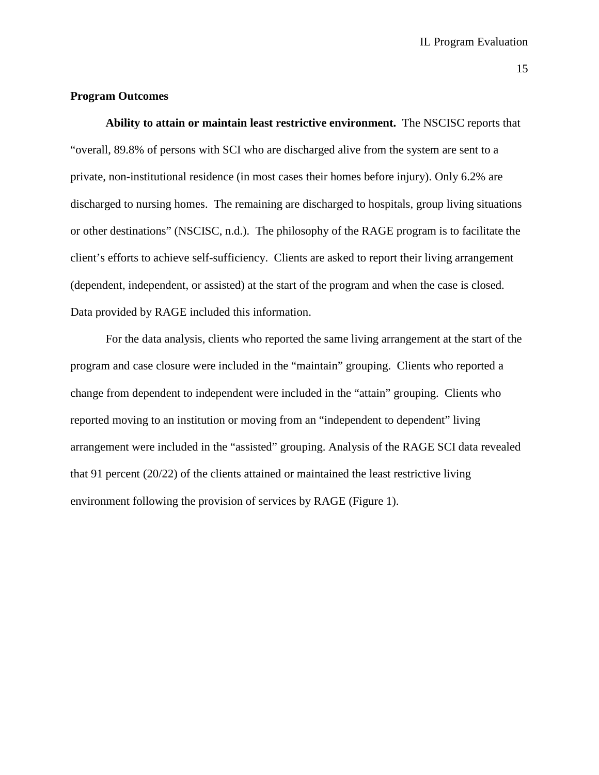#### **Program Outcomes**

**Ability to attain or maintain least restrictive environment.** The NSCISC reports that "overall, 89.8% of persons with SCI who are discharged alive from the system are sent to a private, non-institutional residence (in most cases their homes before injury). Only 6.2% are discharged to nursing homes. The remaining are discharged to hospitals, group living situations or other destinations" (NSCISC, n.d.). The philosophy of the RAGE program is to facilitate the client's efforts to achieve self-sufficiency. Clients are asked to report their living arrangement (dependent, independent, or assisted) at the start of the program and when the case is closed. Data provided by RAGE included this information.

For the data analysis, clients who reported the same living arrangement at the start of the program and case closure were included in the "maintain" grouping. Clients who reported a change from dependent to independent were included in the "attain" grouping. Clients who reported moving to an institution or moving from an "independent to dependent" living arrangement were included in the "assisted" grouping. Analysis of the RAGE SCI data revealed that 91 percent (20/22) of the clients attained or maintained the least restrictive living environment following the provision of services by RAGE (Figure 1).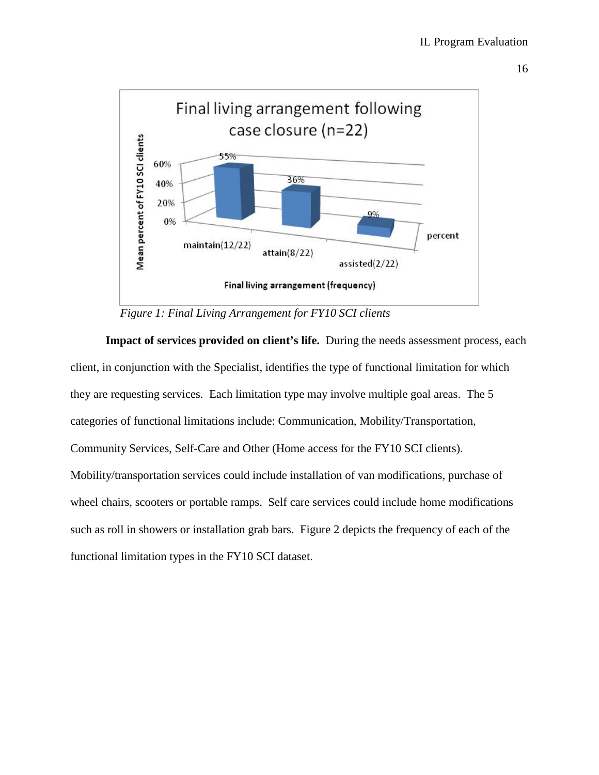

 *Figure 1: Final Living Arrangement for FY10 SCI clients* 

**Impact of services provided on client's life.** During the needs assessment process, each client, in conjunction with the Specialist, identifies the type of functional limitation for which they are requesting services. Each limitation type may involve multiple goal areas. The 5 categories of functional limitations include: Communication, Mobility/Transportation, Community Services, Self-Care and Other (Home access for the FY10 SCI clients). Mobility/transportation services could include installation of van modifications, purchase of wheel chairs, scooters or portable ramps. Self care services could include home modifications such as roll in showers or installation grab bars. Figure 2 depicts the frequency of each of the functional limitation types in the FY10 SCI dataset.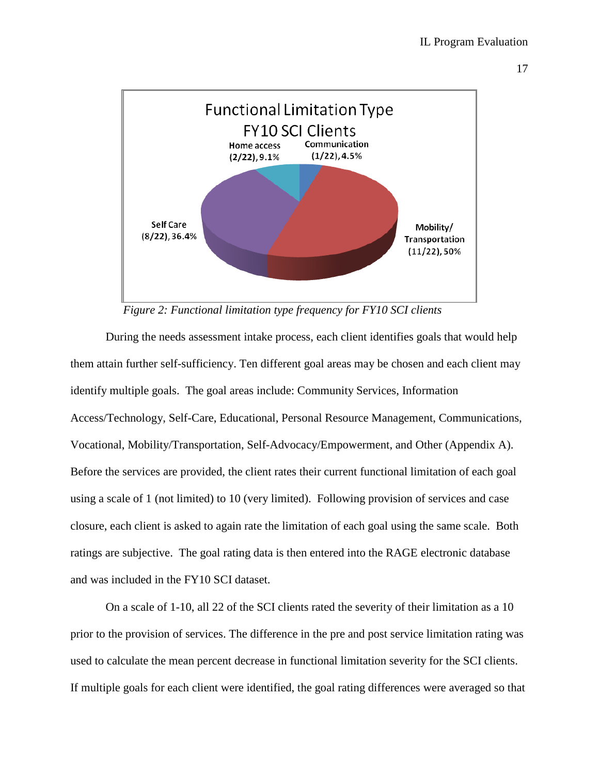



 *Figure 2: Functional limitation type frequency for FY10 SCI clients*

During the needs assessment intake process, each client identifies goals that would help them attain further self-sufficiency. Ten different goal areas may be chosen and each client may identify multiple goals. The goal areas include: Community Services, Information Access/Technology, Self-Care, Educational, Personal Resource Management, Communications, Vocational, Mobility/Transportation, Self-Advocacy/Empowerment, and Other (Appendix A). Before the services are provided, the client rates their current functional limitation of each goal using a scale of 1 (not limited) to 10 (very limited). Following provision of services and case closure, each client is asked to again rate the limitation of each goal using the same scale. Both ratings are subjective. The goal rating data is then entered into the RAGE electronic database and was included in the FY10 SCI dataset.

On a scale of 1-10, all 22 of the SCI clients rated the severity of their limitation as a 10 prior to the provision of services. The difference in the pre and post service limitation rating was used to calculate the mean percent decrease in functional limitation severity for the SCI clients. If multiple goals for each client were identified, the goal rating differences were averaged so that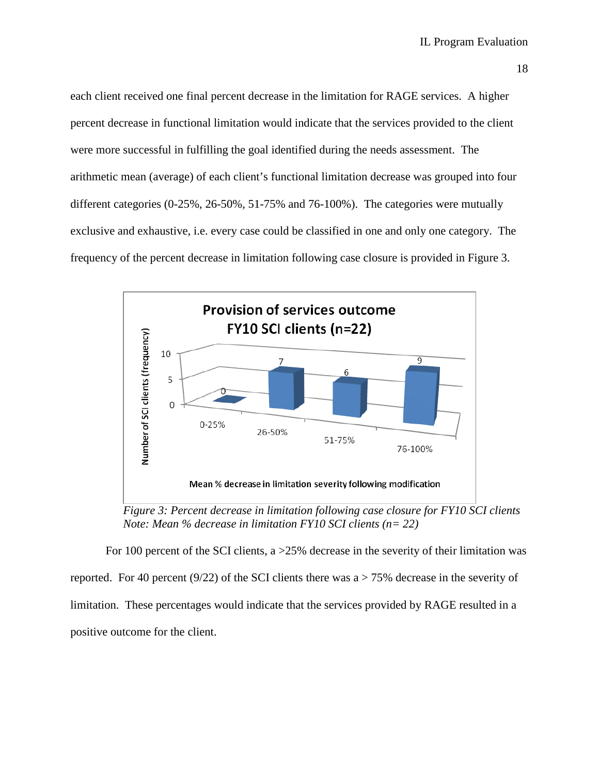each client received one final percent decrease in the limitation for RAGE services. A higher percent decrease in functional limitation would indicate that the services provided to the client were more successful in fulfilling the goal identified during the needs assessment. The arithmetic mean (average) of each client's functional limitation decrease was grouped into four different categories (0-25%, 26-50%, 51-75% and 76-100%). The categories were mutually exclusive and exhaustive, i.e. every case could be classified in one and only one category. The frequency of the percent decrease in limitation following case closure is provided in Figure 3.



 *Figure 3: Percent decrease in limitation following case closure for FY10 SCI clients Note: Mean % decrease in limitation FY10 SCI clients (n= 22)*

For 100 percent of the SCI clients, a >25% decrease in the severity of their limitation was reported. For 40 percent (9/22) of the SCI clients there was  $a > 75\%$  decrease in the severity of limitation. These percentages would indicate that the services provided by RAGE resulted in a positive outcome for the client.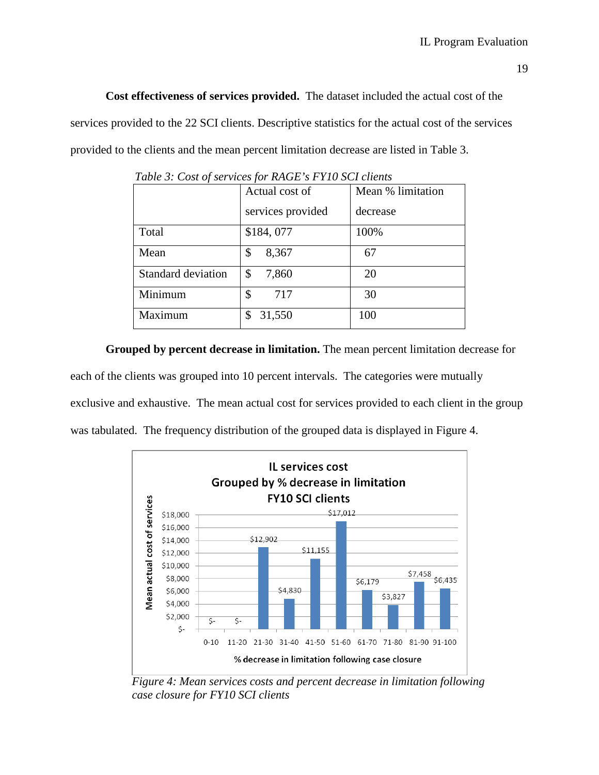**Cost effectiveness of services provided.**The dataset included the actual cost of the services provided to the 22 SCI clients. Descriptive statistics for the actual cost of the services provided to the clients and the mean percent limitation decrease are listed in Table 3.

| $\cdot$                   |                   |                   |  |
|---------------------------|-------------------|-------------------|--|
|                           | Actual cost of    | Mean % limitation |  |
|                           | services provided | decrease          |  |
| Total                     | \$184,077         | 100%              |  |
| Mean                      | 8,367<br>\$       | 67                |  |
| <b>Standard deviation</b> | \$<br>7,860       | 20                |  |
| Minimum                   | \$<br>717         | 30                |  |
| Maximum                   | 31,550<br>\$      | 100               |  |

*Table 3: Cost of services for RAGE's FY10 SCI clients*

**Grouped by percent decrease in limitation.** The mean percent limitation decrease for each of the clients was grouped into 10 percent intervals. The categories were mutually exclusive and exhaustive. The mean actual cost for services provided to each client in the group was tabulated. The frequency distribution of the grouped data is displayed in Figure 4.



 *Figure 4: Mean services costs and percent decrease in limitation following case closure for FY10 SCI clients*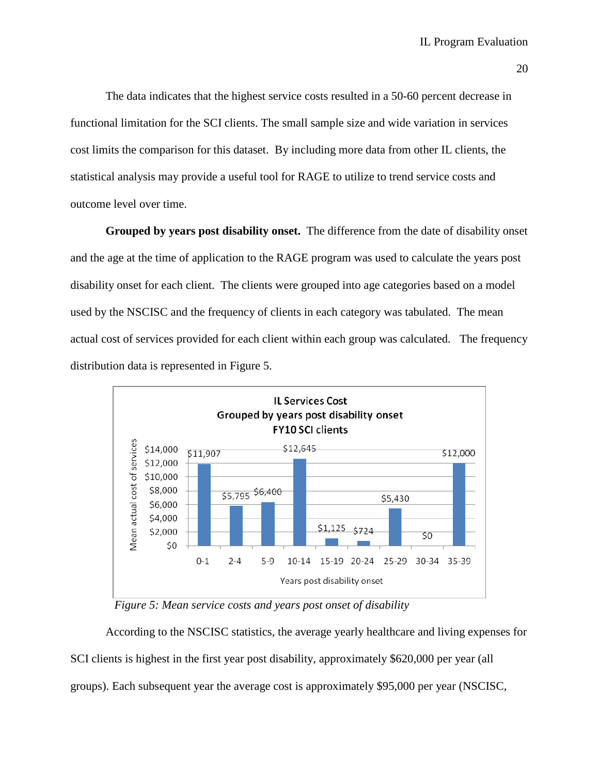The data indicates that the highest service costs resulted in a 50-60 percent decrease in functional limitation for the SCI clients. The small sample size and wide variation in services cost limits the comparison for this dataset. By including more data from other IL clients, the statistical analysis may provide a useful tool for RAGE to utilize to trend service costs and outcome level over time.

Grouped by years post disability onset. The difference from the date of disability onset and the age at the time of application to the RAGE program was used to calculate the years post disability onset for each client. The clients were grouped into age categories based on a model used by the NSCISC and the frequency of clients in each category was tabulated. The mean actual cost of services provided for each client within each group was calculated. The frequency distribution data is represented in Figure 5.



 *Figure 5: Mean service costs and years post onset of disability*

According to the NSCISC statistics, the average yearly healthcare and living expenses for SCI clients is highest in the first year post disability, approximately \$620,000 per year (all groups). Each subsequent year the average cost is approximately \$95,000 per year (NSCISC,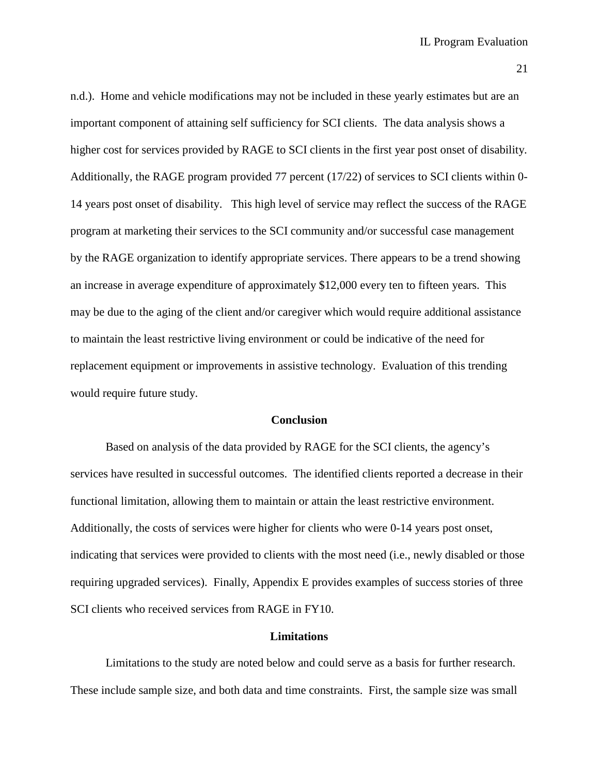n.d.). Home and vehicle modifications may not be included in these yearly estimates but are an important component of attaining self sufficiency for SCI clients. The data analysis shows a higher cost for services provided by RAGE to SCI clients in the first year post onset of disability. Additionally, the RAGE program provided 77 percent (17/22) of services to SCI clients within 0- 14 years post onset of disability. This high level of service may reflect the success of the RAGE program at marketing their services to the SCI community and/or successful case management by the RAGE organization to identify appropriate services. There appears to be a trend showing an increase in average expenditure of approximately \$12,000 every ten to fifteen years. This may be due to the aging of the client and/or caregiver which would require additional assistance to maintain the least restrictive living environment or could be indicative of the need for replacement equipment or improvements in assistive technology. Evaluation of this trending would require future study.

#### **Conclusion**

Based on analysis of the data provided by RAGE for the SCI clients, the agency's services have resulted in successful outcomes. The identified clients reported a decrease in their functional limitation, allowing them to maintain or attain the least restrictive environment. Additionally, the costs of services were higher for clients who were 0-14 years post onset, indicating that services were provided to clients with the most need (i.e., newly disabled or those requiring upgraded services). Finally, Appendix E provides examples of success stories of three SCI clients who received services from RAGE in FY10.

#### **Limitations**

Limitations to the study are noted below and could serve as a basis for further research. These include sample size, and both data and time constraints. First, the sample size was small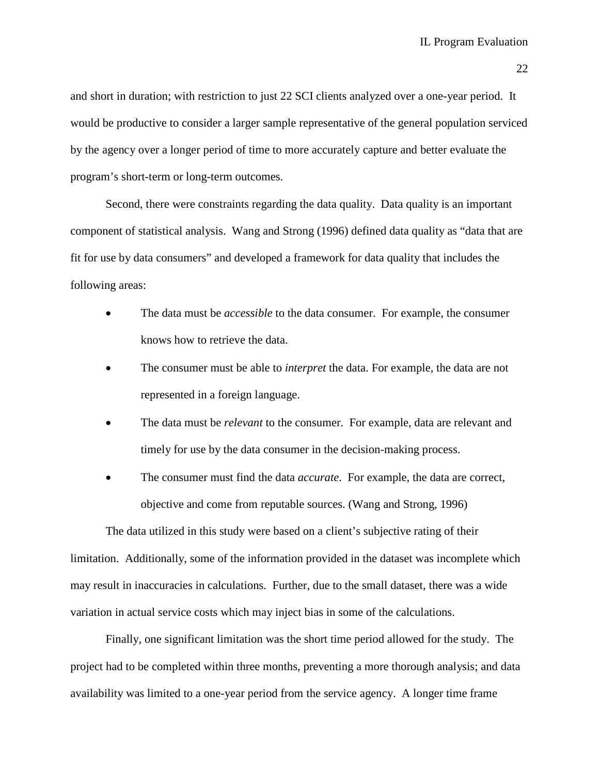and short in duration; with restriction to just 22 SCI clients analyzed over a one-year period. It would be productive to consider a larger sample representative of the general population serviced by the agency over a longer period of time to more accurately capture and better evaluate the program's short-term or long-term outcomes.

Second, there were constraints regarding the data quality. Data quality is an important component of statistical analysis. Wang and Strong (1996) defined data quality as "data that are fit for use by data consumers" and developed a framework for data quality that includes the following areas:

- The data must be *accessible* to the data consumer. For example, the consumer knows how to retrieve the data.
- The consumer must be able to *interpret* the data. For example, the data are not represented in a foreign language.
- The data must be *relevant* to the consumer. For example, data are relevant and timely for use by the data consumer in the decision-making process.
- The consumer must find the data *accurate*. For example, the data are correct, objective and come from reputable sources. (Wang and Strong, 1996)

The data utilized in this study were based on a client's subjective rating of their limitation. Additionally, some of the information provided in the dataset was incomplete which may result in inaccuracies in calculations. Further, due to the small dataset, there was a wide variation in actual service costs which may inject bias in some of the calculations.

Finally, one significant limitation was the short time period allowed for the study. The project had to be completed within three months, preventing a more thorough analysis; and data availability was limited to a one-year period from the service agency. A longer time frame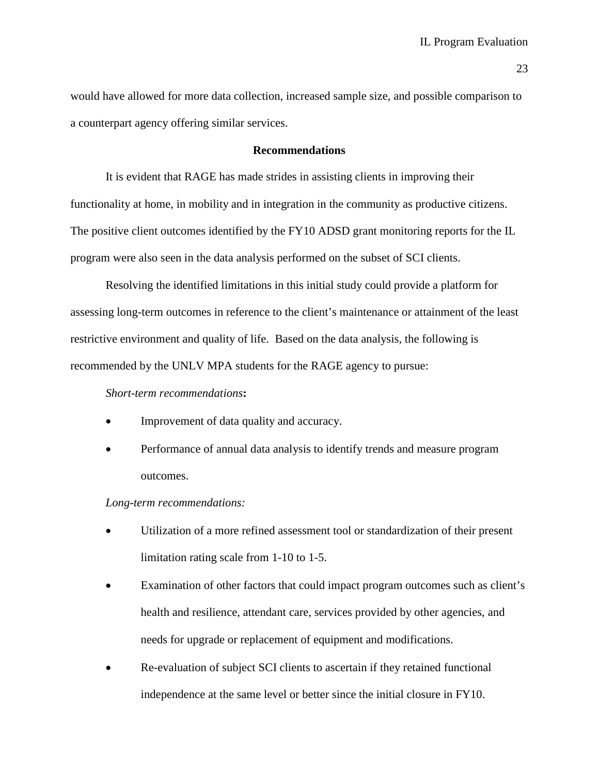would have allowed for more data collection, increased sample size, and possible comparison to a counterpart agency offering similar services.

#### **Recommendations**

It is evident that RAGE has made strides in assisting clients in improving their functionality at home, in mobility and in integration in the community as productive citizens. The positive client outcomes identified by the FY10 ADSD grant monitoring reports for the IL program were also seen in the data analysis performed on the subset of SCI clients.

Resolving the identified limitations in this initial study could provide a platform for assessing long-term outcomes in reference to the client's maintenance or attainment of the least restrictive environment and quality of life. Based on the data analysis, the following is recommended by the UNLV MPA students for the RAGE agency to pursue:

#### *Short-term recommendations***:**

- Improvement of data quality and accuracy.
- Performance of annual data analysis to identify trends and measure program outcomes.

#### *Long-term recommendations:*

- Utilization of a more refined assessment tool or standardization of their present limitation rating scale from 1-10 to 1-5.
- Examination of other factors that could impact program outcomes such as client's health and resilience, attendant care, services provided by other agencies, and needs for upgrade or replacement of equipment and modifications.
- Re-evaluation of subject SCI clients to ascertain if they retained functional independence at the same level or better since the initial closure in FY10.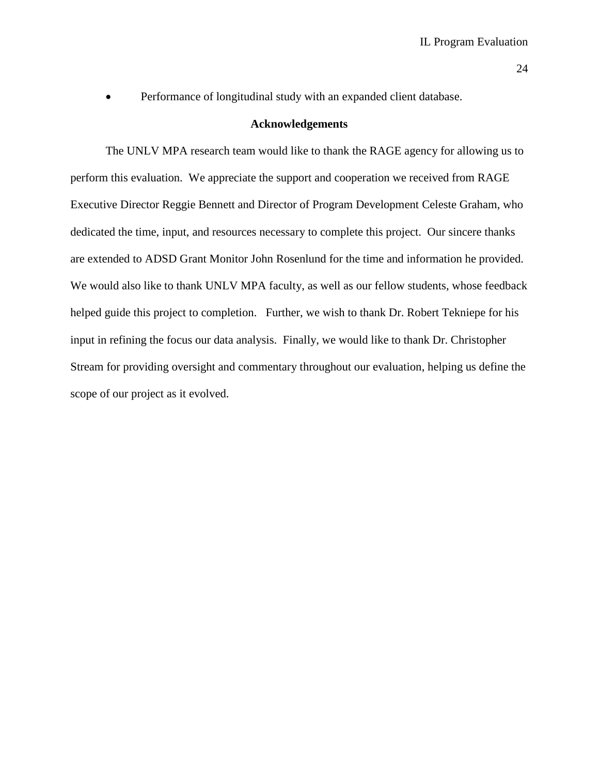• Performance of longitudinal study with an expanded client database.

#### **Acknowledgements**

The UNLV MPA research team would like to thank the RAGE agency for allowing us to perform this evaluation. We appreciate the support and cooperation we received from RAGE Executive Director Reggie Bennett and Director of Program Development Celeste Graham, who dedicated the time, input, and resources necessary to complete this project. Our sincere thanks are extended to ADSD Grant Monitor John Rosenlund for the time and information he provided. We would also like to thank UNLV MPA faculty, as well as our fellow students, whose feedback helped guide this project to completion. Further, we wish to thank Dr. Robert Tekniepe for his input in refining the focus our data analysis. Finally, we would like to thank Dr. Christopher Stream for providing oversight and commentary throughout our evaluation, helping us define the scope of our project as it evolved.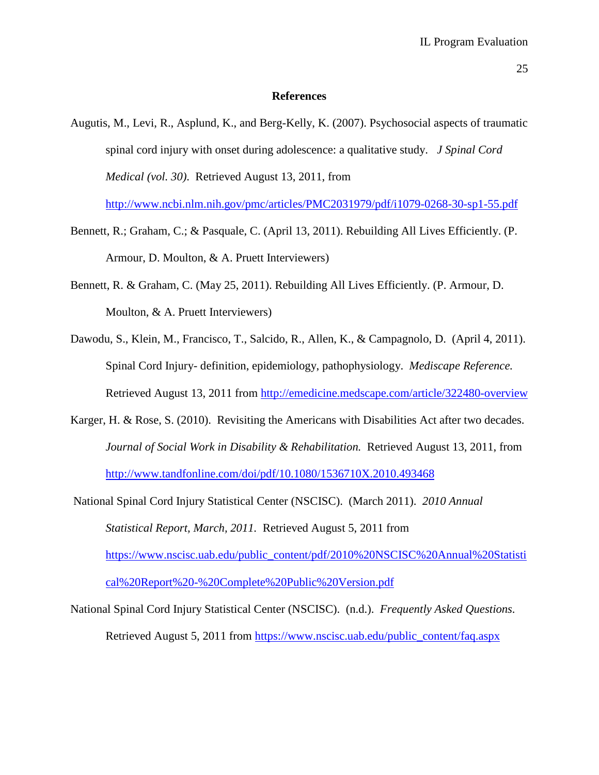#### **References**

Augutis, M., Levi, R., Asplund, K., and Berg-Kelly, K. (2007). Psychosocial aspects of traumatic spinal cord injury with onset during adolescence: a qualitative study. *J Spinal Cord Medical (vol. 30)*. Retrieved August 13, 2011, from <http://www.ncbi.nlm.nih.gov/pmc/articles/PMC2031979/pdf/i1079-0268-30-sp1-55.pdf>

Bennett, R.; Graham, C.; & Pasquale, C. (April 13, 2011). Rebuilding All Lives Efficiently. (P. Armour, D. Moulton, & A. Pruett Interviewers)

- Bennett, R. & Graham, C. (May 25, 2011). Rebuilding All Lives Efficiently. (P. Armour, D. Moulton, & A. Pruett Interviewers)
- Dawodu, S., Klein, M., Francisco, T., Salcido, R., Allen, K., & Campagnolo, D. (April 4, 2011). Spinal Cord Injury- definition, epidemiology, pathophysiology. *Mediscape Reference.*  Retrieved August 13, 2011 from<http://emedicine.medscape.com/article/322480-overview>
- Karger, H. & Rose, S. (2010). Revisiting the Americans with Disabilities Act after two decades. *Journal of Social Work in Disability & Rehabilitation.* Retrieved August 13, 2011, from <http://www.tandfonline.com/doi/pdf/10.1080/1536710X.2010.493468>
- National Spinal Cord Injury Statistical Center (NSCISC). (March 2011). *2010 Annual Statistical Report, March, 2011.* Retrieved August 5, 2011 from [https://www.nscisc.uab.edu/public\\_content/pdf/2010%20NSCISC%20Annual%20Statisti](https://www.nscisc.uab.edu/public_content/pdf/2010%20NSCISC%20Annual%20Statistical%20Report%20-%20Complete%20Public%20Version.pdf) [cal%20Report%20-%20Complete%20Public%20Version.pdf](https://www.nscisc.uab.edu/public_content/pdf/2010%20NSCISC%20Annual%20Statistical%20Report%20-%20Complete%20Public%20Version.pdf)

National Spinal Cord Injury Statistical Center (NSCISC). (n.d.). *Frequently Asked Questions.*  Retrieved August 5, 2011 from [https://www.nscisc.uab.edu/public\\_content/faq.aspx](https://www.nscisc.uab.edu/public_content/faq.aspx)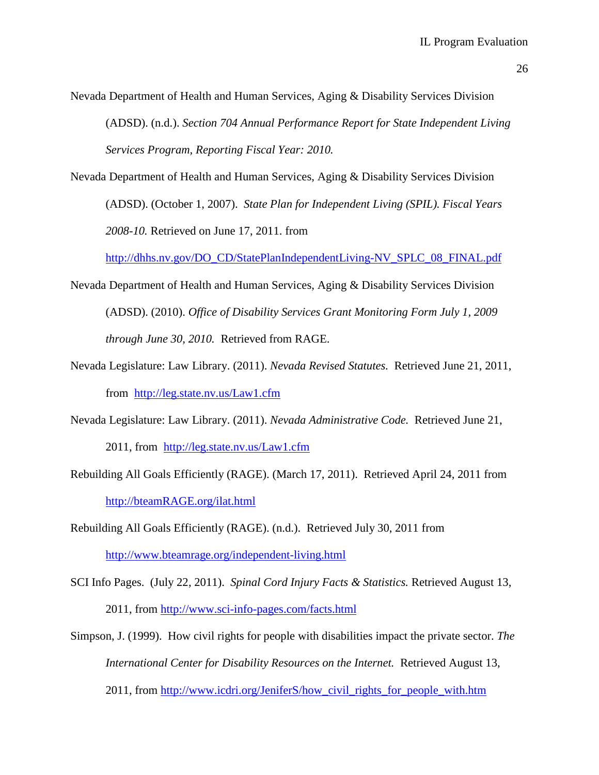Nevada Department of Health and Human Services, Aging & Disability Services Division

(ADSD). (n.d.). *Section 704 Annual Performance Report for State Independent Living Services Program, Reporting Fiscal Year: 2010.* 

Nevada Department of Health and Human Services, Aging & Disability Services Division (ADSD). (October 1, 2007). *State Plan for Independent Living (SPIL). Fiscal Years 2008-10.* Retrieved on June 17, 2011. from

[http://dhhs.nv.gov/DO\\_CD/StatePlanIndependentLiving-NV\\_SPLC\\_08\\_FINAL.pdf](http://dhhs.nv.gov/DO_CD/StatePlanIndependentLiving-NV_SPLC_08_FINAL.pdf)

- Nevada Department of Health and Human Services, Aging & Disability Services Division (ADSD). (2010). *Office of Disability Services Grant Monitoring Form July 1, 2009 through June 30, 2010.* Retrieved from RAGE.
- Nevada Legislature: Law Library. (2011). *Nevada Revised Statutes.* Retrieved June 21, 2011, from <http://leg.state.nv.us/Law1.cfm>
- Nevada Legislature: Law Library. (2011). *Nevada Administrative Code.* Retrieved June 21, 2011, from <http://leg.state.nv.us/Law1.cfm>
- Rebuilding All Goals Efficiently (RAGE). (March 17, 2011). Retrieved April 24, 2011 from [http://bteamRAGE.org/ilat.html](http://bteamrage.org/ilat.html)

Rebuilding All Goals Efficiently (RAGE). (n.d.). Retrieved July 30, 2011 from <http://www.bteamrage.org/independent-living.html>

- SCI Info Pages. (July 22, 2011). *Spinal Cord Injury Facts & Statistics.* Retrieved August 13, 2011, from<http://www.sci-info-pages.com/facts.html>
- Simpson, J. (1999). How civil rights for people with disabilities impact the private sector. *The International Center for Disability Resources on the Internet.* Retrieved August 13, 2011, from [http://www.icdri.org/JeniferS/how\\_civil\\_rights\\_for\\_people\\_with.htm](http://www.icdri.org/JeniferS/how_civil_rights_for_people_with.htm)